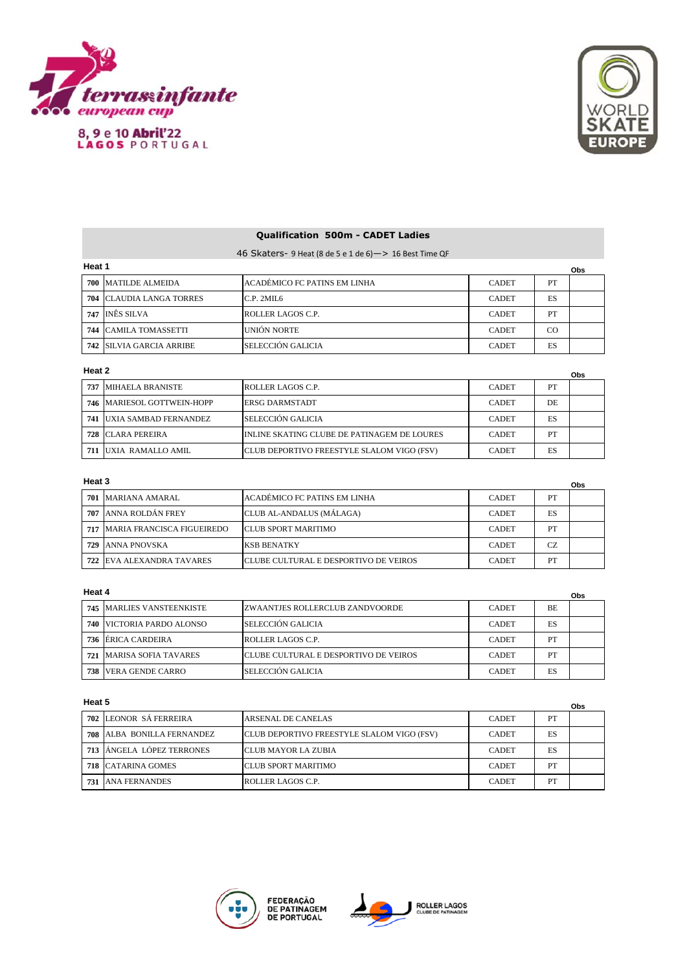

8, 9 e 10 Abril'22<br>LAGOS PORTUGAL



**Obs**

# **Qualification 500m - CADET Ladies**

46 Skaters- 9 Heat (8 de 5 e 1 de 6)—> 16 Best Time QF

| Heat 1 | Obs                              |                               |              |    |  |
|--------|----------------------------------|-------------------------------|--------------|----|--|
|        | 700 MATILDE ALMEIDA              | LACADÉMICO FC PATINS EM LINHA | <b>CADET</b> | PT |  |
|        | <b>704 ICLAUDIA LANGA TORRES</b> | C.P. 2MII.6                   | <b>CADET</b> | ES |  |
|        | 747 INÊS SILVA                   | ROLLER LAGOS C.P.             | <b>CADET</b> | PT |  |
|        | <b>744 CAMILA TOMASSETTI</b>     | <b>UNIÓN NORTE</b>            | <b>CADET</b> | CO |  |
|        | <b>742 ISILVIA GARCIA ARRIBE</b> | <b>SELECCIÓN GALICIA</b>      | <b>CADET</b> | ES |  |

## **Heat 2**

|     | Heat 2<br>Obs             |                                                    |              |     |  |
|-----|---------------------------|----------------------------------------------------|--------------|-----|--|
| 737 | MIHAELA BRANISTE          | ROLLER LAGOS C.P.                                  | <b>CADET</b> | PT  |  |
| 746 | MARIESOL GOTTWEIN-HOPP    | <b>ERSG DARMSTADT</b>                              | <b>CADET</b> | DE. |  |
| 741 | UXIA SAMBAD FERNANDEZ     | <b>SELECCIÓN GALICIA</b>                           | <b>CADET</b> | ES  |  |
| 728 | ICLARA PEREIRA            | INLINE SKATING CLUBE DE PATINAGEM DE LOURES        | <b>CADET</b> | PT  |  |
| 711 | <b>IUXIA RAMALLO AMIL</b> | <b>ICLUB DEPORTIVO FREESTYLE SLALOM VIGO (FSV)</b> | <b>CADET</b> | ES  |  |

### **Heat 3**

| Heat 3<br><b>Obs</b> |                                  |                                        |              |     |  |
|----------------------|----------------------------------|----------------------------------------|--------------|-----|--|
|                      | 701 MARIANA AMARAL               | ACADÉMICO FC PATINS EM LINHA           | <b>CADET</b> | PT  |  |
|                      | 707 ANNA ROLDÁN FREY             | CLUB AL-ANDALUS (MÁLAGA)               | <b>CADET</b> | ES  |  |
|                      | 717 MARIA FRANCISCA FIGUEIREDO   | <b>ICLUB SPORT MARITIMO</b>            | <b>CADET</b> | PT  |  |
| 729                  | ANNA PNOVSKA                     | <b>KSB BENATKY</b>                     | <b>CADET</b> | CZ. |  |
|                      | <b>722 EVA ALEXANDRA TAVARES</b> | ICLUBE CULTURAL E DESPORTIVO DE VEIROS | <b>CADET</b> | PT  |  |

### **Heat 4**

| Heat 4<br>Obs |                                  |                                              |              |           |  |
|---------------|----------------------------------|----------------------------------------------|--------------|-----------|--|
|               | <b>745 MARLIES VANSTEENKISTE</b> | IZWAANTJES ROLLERCLUB ZANDVOORDE             | <b>CADET</b> | <b>BE</b> |  |
|               | <b>740 VICTORIA PARDO ALONSO</b> | <b>SELECCIÓN GALICIA</b>                     | <b>CADET</b> | ES        |  |
| 736           | ÉRICA CARDEIRA                   | ROLLER LAGOS C.P.                            | <b>CADET</b> | PT        |  |
| 721           | <b>MARISA SOFIA TAVARES</b>      | <b>CLUBE CULTURAL E DESPORTIVO DE VEIROS</b> | <b>CADET</b> | PT        |  |
| 738           | <b>VERA GENDE CARRO</b>          | SELECCIÓN GALICIA                            | <b>CADET</b> | ES        |  |

#### **Heat 5**

|     |                           |                                            |              |    | UDS |
|-----|---------------------------|--------------------------------------------|--------------|----|-----|
|     | 702 LEONOR SÁ FERREIRA    | <b>ARSENAL DE CANELAS</b>                  | <b>CADET</b> | PT |     |
| 708 | ALBA BONILLA FERNANDEZ    | CLUB DEPORTIVO FREESTYLE SLALOM VIGO (FSV) | <b>CADET</b> | ES |     |
|     | 713 ANGELA LÓPEZ TERRONES | ICLUB MAYOR LA ZUBIA                       | <b>CADET</b> | ES |     |
|     | <b>718 CATARINA GOMES</b> | <b>ICLUB SPORT MARITIMO</b>                | <b>CADET</b> | PТ |     |
| 731 | <b>JANA FERNANDES</b>     | ROLLER LAGOS C.P.                          | <b>CADET</b> | PТ |     |